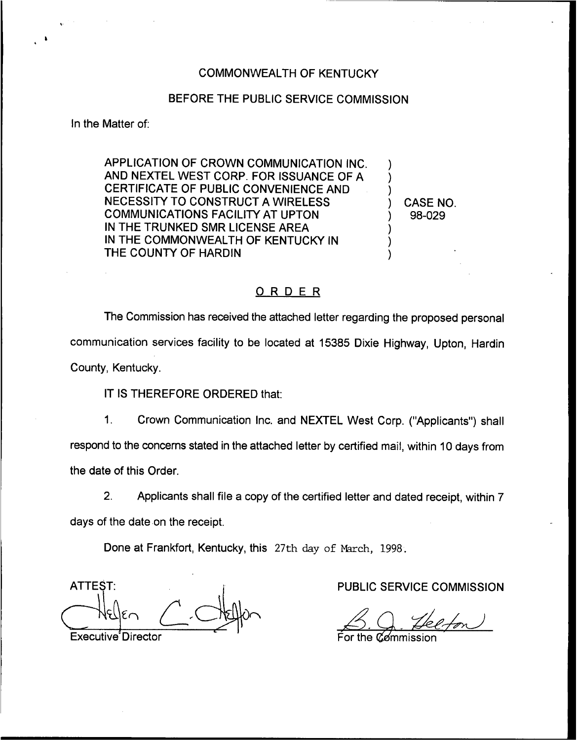### COMMONWEALTH OF KENTUCKY

### BEFORE THE PUBLIC SERVICE COMMISSION

In the Matter of:

APPLICATION OF CROWN COMMUNICATION INC. AND NEXTEL WEST CORP. FOR ISSUANCE OF A CERTIFICATE OF PUBLIC CONVENIENCE AND NECESSITY TO CONSTRUCT A WIRELESS COMMUNICATIONS FACILITY AT UPTON IN THE TRUNKED SMR LICENSE AREA IN THE COMMONWEALTH OF KENTUCKY IN THE COUNTY OF HARDIN

) CASE NO. ) 98-029

) ) )

) ) )

#### ORDER

The Commission has received the attached letter regarding the proposed personal communication services facility to be located at 15385 Dixie Highway, Upton, Hardin County, Kentucky.

IT IS THEREFORE ORDERED that:

1. Crown Communication Inc. and NEXTEL West Corp. ("Applicants") sha respond to the concerns stated in the attached letter by certified mail, within 10 days from the date of this Order.

2. Applicants shall file a copy of the certified letter and dated receipt, within 7 days of the date on the receipt.

Done at Frankfort, Kentucky, this 27th day of March, 1998.

ATTEST: Executive'Director

PUBLIC SERVICE COMMISSION

For the  $\mathscr C\!\mathscr A$ mmission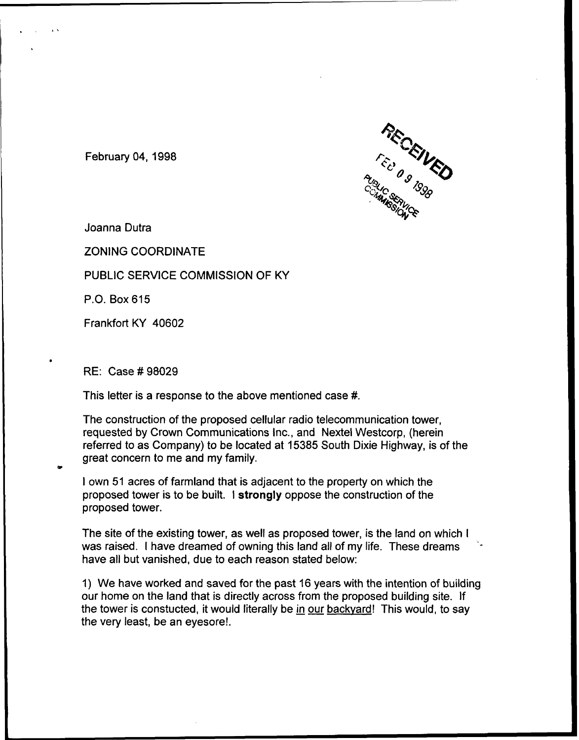

February 04, 1998

Joanna Dutra

ZONING COORDINATE

PUBLIC SERVICE COMMISSION OF KY

P.O. Box 615

Frankfort KY 40602

RE: Case #98029

This letter is a response to the above mentioned case #.

The construction of the proposed cellular radio telecommunication tower, requested by Crown Communications Inc., and Nextel Westcorp, (herein referred to as Company) to be located at 15385 South Dixie Highway, is of the great concern to me and my family.

<sup>I</sup> own 51 acres of farmland that is adjacent to the property on which the proposed tower is to be built. <sup>I</sup> strongly oppose the construction of the proposed tower.

The site of the existing tower, as well as proposed tower, is the land on which <sup>I</sup> was raised. <sup>I</sup> have dreamed of owning this land all of my life. These dreams have all but vanished, due to each reason stated below:

1) We have worked and saved for the past 16 years with the intention of building our home on the land that is directly across from the proposed building site. If the tower is constucted, it would literally be in our backvard! This would, to say the very least, be an eyesore!.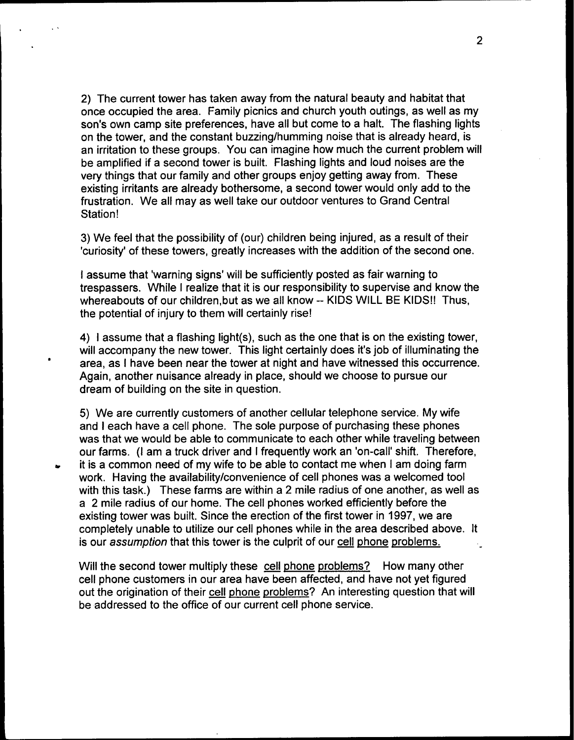2) The current tower has taken away from the natural beauty and habitat that once occupied the area. Family picnics and church youth outings, as well as my son's own camp site preferences, have all but come to a halt. The flashing lights on the tower, and the constant buzzing/humming noise that is already heard, is an irritation to these groups. You can imagine how much the current problem will be amplified if a second tower is built. Flashing lights and loud noises are the very things that our family and other groups enjoy getting away from. These existing irritants are already bothersome, a second tower would only add to the frustration. We all may as well take our outdoor ventures to Grand Central Station!

3) We feel that the possibility of (our) children being injured, as a result of their 'curiosity' of these towers, greatly increases with the addition of the second one.

I assume that 'warning signs' will be sufficiently posted as fair warning to trespassers. While <sup>I</sup> realize that it is our responsibility to supervise and know the whereabouts of our children, but as we all know -- KIDS WILL BE KIDS!! Thus, the potential of injury to them will certainly rise!

4) <sup>I</sup> assume that a flashing light(s), such as the one that is on the existing tower, will accompany the new tower. This light certainly does it's job of illuminating the area, as <sup>I</sup> have been near the tower at night and have witnessed this occurrence. Again, another nuisance already in place, should we choose to pursue our dream of building on the site in question.

5) We are currently customers of another cellular telephone service. My wife and <sup>I</sup> each have a cell phone. The sole purpose of purchasing these phones was that we would be able to communicate to each other while traveling between our farms. (I am a truck driver and I frequently work an 'on-call' shift. Therefore, it is a common need of my wife to be able to contact me when <sup>I</sup> am doing farm work. Having the availability/convenience of cell phones was a welcomed tool with this task.) These farms are within a 2 mile radius of one another, as well as a 2 mile radius of our home. The cell phones worked efficiently before the existing tower was built. Since the erection of the first tower in 1997, we are completely unable to utilize our cell phones while in the area described above. It is our assumption that this tower is the culprit of our cell phone problems.

Will the second tower multiply these cell phone problems? How many other cell phone customers in our area have been affected, and have not yet figured out the origination of their cell phone problems? An interesting question that will be addressed to the office of our current cell phone service.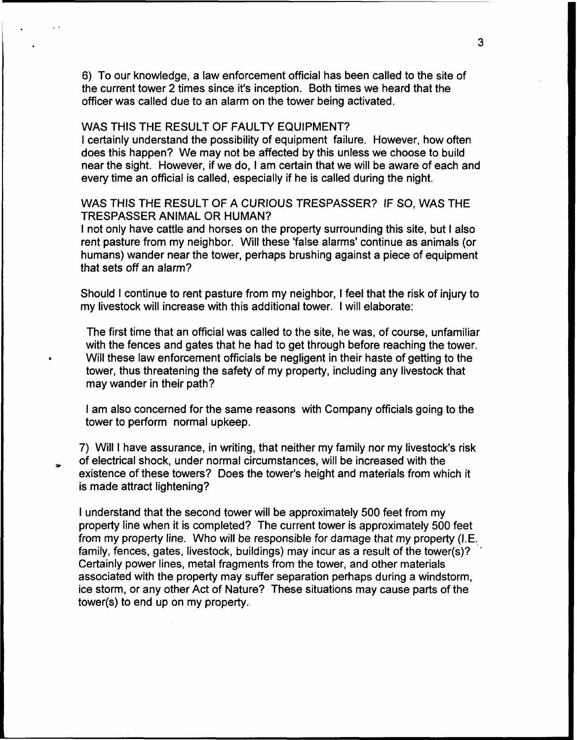6) To our knowledge, a law enforcement official has been called to the site of the current tower 2 times since it's inception. Both times we heard that the officer was called due to an alarm on the tower being activated.

# WAS THIS THE RESULT OF FAULTY EQUIPMENT?

<sup>I</sup> certainly understand the possibility of equipment failure. However, how often does this happen? We may not be affected by this unless we choose to build near the sight. However, if we do, <sup>I</sup> am certain that we will be aware of each and every time an official is called, especially if he is called during the night.

# WAS THIS THE RESULT OF A CURIOUS TRESPASSER? IF SO, WAS THE TRESPASSER ANIMAL OR HUMAN?

<sup>I</sup> not only have cattle and horses on the property surrounding this site, but <sup>I</sup> also rent pasture from my neighbor. Will these 'false alarms' continue as animals (or humans) wander near the tower, perhaps brushing against a piece of equipment that sets off an alarm?

Should <sup>I</sup> continue to rent pasture from my neighbor, <sup>I</sup> feel that the risk of injury to my livestock will increase with this additional tower. <sup>I</sup> will elaborate:

The first time that an official was called to the site, he was, of course, unfamiliar with the fences and gates that he had to get through before reaching the tower. Will these law enforcement officials be negligent in their haste of getting to the tower, thus threatening the safety of my property, including any livestock that may wander in their path?

<sup>I</sup> am also concerned for the same reasons with Company officials going to the tower to perform normal upkeep.

7) Will <sup>I</sup> have assurance, in writing, that neither my family nor my livestock's risk of electrical shock, under normal circumstances, will be increased with the existence of these towers? Does the tower's height and materials from which it is made attract lightening?

<sup>I</sup> understand that the second tower will be approximately 500 feet from my property line when it is completed? The current tower is approximately 500 feet from my property line. Who will be responsible for damage that my property (I.E. family, fences, gates, livestock, buildings) may incur as a result of the tower(s)? Certainly power lines, metal fragments from the tower, and other materials associated with the property may suffer separation perhaps during a windstorm, ice storm, or any other Act of Nature? These situations may cause parts of the tower(s) to end up on my property.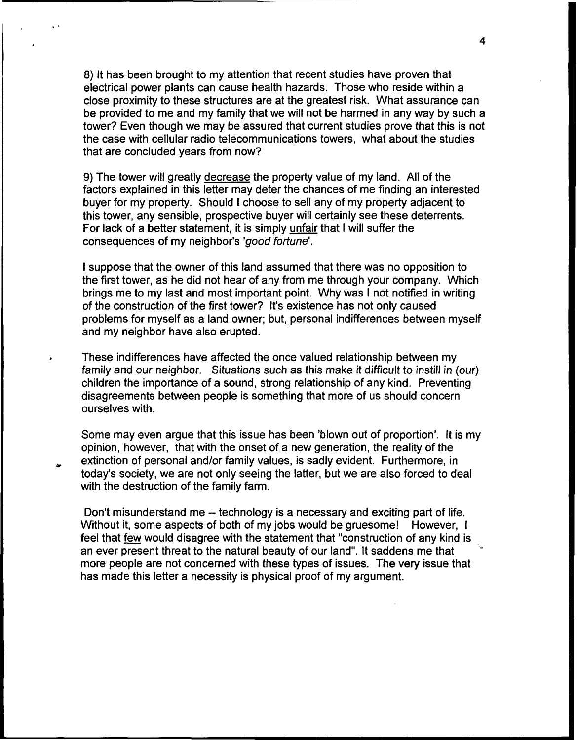8) It has been brought to my attention that recent studies have proven that electrical power plants can cause health hazards. Those who reside within a close proximity to these structures are at the greatest risk. What assurance can be provided to me and my family that we will not be harmed in any way by such a tower? Even though we may be assured that current studies prove that this is not the case with cellular radio telecommunications towers, what about the studies that are concluded years from now?

9) The tower will greatly decrease the property value of my land. All of the factors explained in this letter may deter the chances of me finding an interested buyer for my property. Should <sup>I</sup> choose to sell any of my property adjacent to this tower, any sensible, prospective buyer will certainly see these deterrents. For lack of a better statement, it is simply unfair that <sup>I</sup> will suffer the consequences of my neighbor's 'good fortune'.

<sup>I</sup> suppose that the owner of this land assumed that there was no opposition to the first tower, as he did not hear of any from me through your company. Which brings me to my last and most important point, Why was <sup>I</sup> not notified in writing of the construction of the first tower? It's existence has not only caused problems for myself as a land owner; but, personal indifferences between myself and my neighbor have also erupted,

These indifferences have affected the once valued relationship between my family and our neighbor. Situations such as this make it difficult to instill in (our) children the importance of a sound, strong relationship of any kind. Preventing disagreements between people is something that more of us should concern ourselves with.

Some may even argue that this issue has been 'blown out of proportion'. It is my opinion, however, that with the onset of a new generation, the reality of the extinction of personal and/or family values, is sadly evident. Furthermore, in today's society, we are not only seeing the latter, but we are also forced to deal with the destruction of the family farm.

Don't misunderstand me -- technology is a necessary and exciting part of life. Without it, some aspects of both of my jobs would be gruesome! However, I feel that few would disagree with the statement that "construction of any kind is an ever present threat to the natural beauty of our land". It saddens me that more people are not concerned with these types of issues. The very issue that has made this letter a necessity is physical proof of my argument.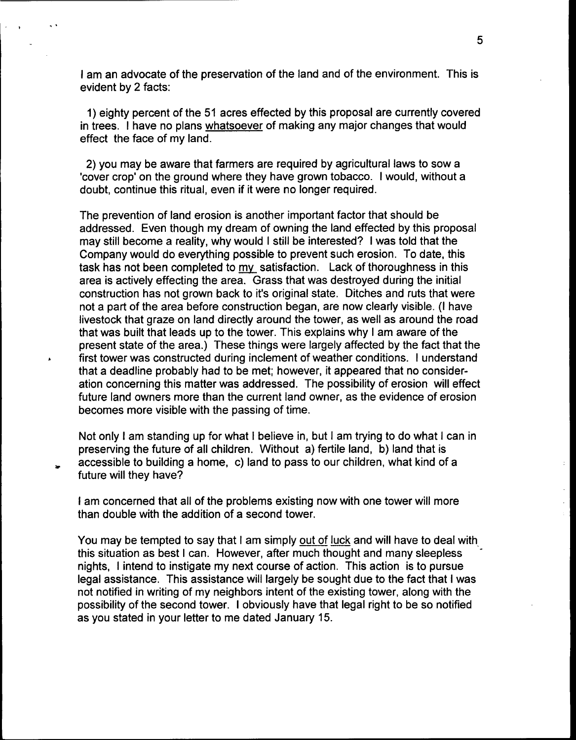<sup>I</sup> am an advocate of the preservation of the land and of the environment. This is evident by 2 facts:

1) eighty percent of the 51 acres effected by this proposal are currently covered in trees. <sup>I</sup> have no plans whatsoever of making any major changes that would effect the face of my land.

2) you may be aware that farmers are required by agricultural laws to sow a 'cover crop' on the ground where they have grown tobacco. I would, without a doubt, continue this ritual, even if it were no longer required.

The prevention of land erosion is another important factor that should be addressed. Even though my dream of owning the land effected by this proposal may still become a reality, why would <sup>I</sup> still be interested? <sup>I</sup> was told that the Company would do everything possible to prevent such erosion. To date, this task has not been completed to my satisfaction. Lack of thoroughness in this area is actively effecting the area. Grass that was destroyed during the initial construction has not grown back to it's original state. Ditches and ruts that were not a part of the area before construction began, are now clearly visible. (I have livestock that graze on land directly around the tower, as well as around the road that was built that leads up to the tower. This explains why <sup>I</sup> am aware of the present state of the area.) These things were largely affected by the fact that the first tower was constructed during inclement of weather conditions. <sup>I</sup> understand that a deadline probably had to be met; however, it appeared that no consideration concerning this matter was addressed. The possibility of erosion will effect future land owners more than the current land owner, as the evidence of erosion becomes more visible with the passing of time.

Not only <sup>I</sup> am standing up for what <sup>I</sup> believe in, but <sup>I</sup> am trying to do what <sup>I</sup> can in preserving the future of all children. Without a) fertile land, b) land that is accessible to building a home, c) land to pass to our children, what kind of a future will they have?

<sup>I</sup> am concerned that all of the problems existing now with one tower will more than double with the addition of a second tower.

You may be tempted to say that I am simply out of luck and will have to deal with this situation as best <sup>I</sup> can. However, after much thought and many sleepless nights, <sup>I</sup> intend to instigate my next course of action. This action is to pursue legal assistance. This assistance will largely be sought due to the fact that <sup>I</sup> was not notified in writing of my neighbors intent of the existing tower, along with the possibility of the second tower. <sup>I</sup> obviously have that legal right to be so notified as you stated in your letter to me dated January 15.

 $\ddot{\cdot}$